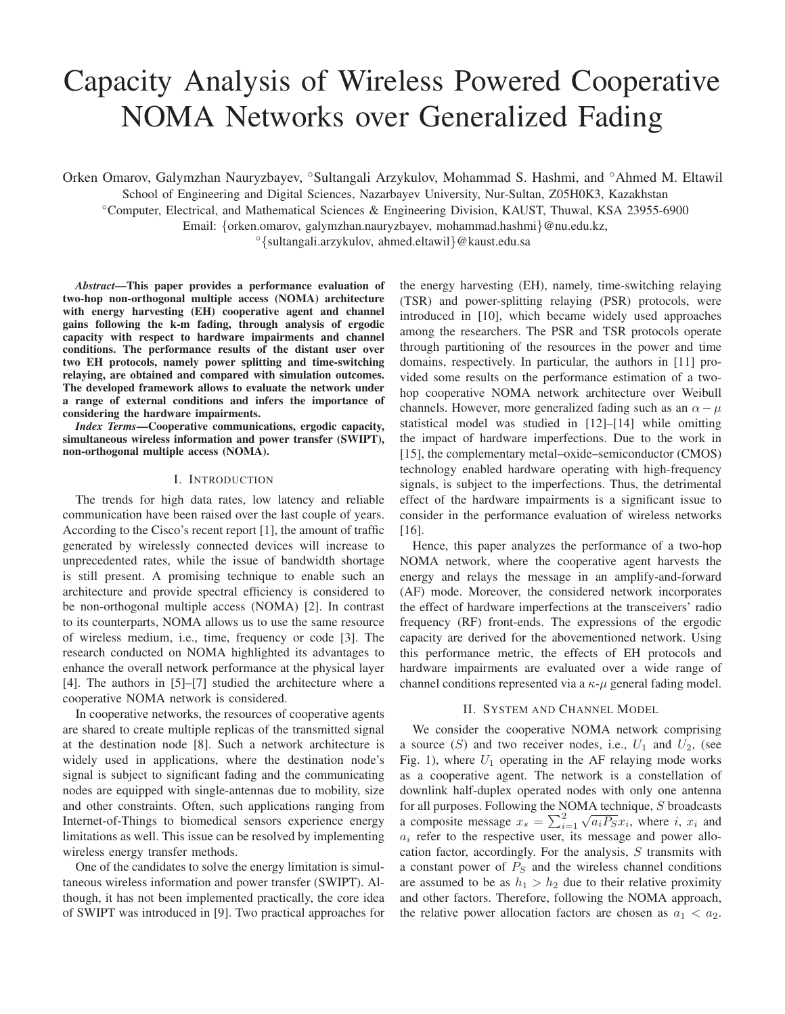# Capacity Analysis of Wireless Powered Cooperative NOMA Networks over Generalized Fading

Orken Omarov, Galymzhan Nauryzbayev, ◦Sultangali Arzykulov, Mohammad S. Hashmi, and ◦Ahmed M. Eltawil

School of Engineering and Digital Sciences, Nazarbayev University, Nur-Sultan, Z05H0K3, Kazakhstan

◦Computer, Electrical, and Mathematical Sciences & Engineering Division, KAUST, Thuwal, KSA 23955-6900

Email: {orken.omarov, galymzhan.nauryzbayev, mohammad.hashmi}@nu.edu.kz,

◦{sultangali.arzykulov, ahmed.eltawil}@kaust.edu.sa

*Abstract*—This paper provides a performance evaluation of two-hop non-orthogonal multiple access (NOMA) architecture with energy harvesting (EH) cooperative agent and channel gains following the k-m fading, through analysis of ergodic capacity with respect to hardware impairments and channel conditions. The performance results of the distant user over two EH protocols, namely power splitting and time-switching relaying, are obtained and compared with simulation outcomes. The developed framework allows to evaluate the network under a range of external conditions and infers the importance of considering the hardware impairments.

*Index Terms*—Cooperative communications, ergodic capacity, simultaneous wireless information and power transfer (SWIPT), non-orthogonal multiple access (NOMA).

# I. INTRODUCTION

The trends for high data rates, low latency and reliable communication have been raised over the last couple of years. According to the Cisco's recent report [1], the amount of traffic generated by wirelessly connected devices will increase to unprecedented rates, while the issue of bandwidth shortage is still present. A promising technique to enable such an architecture and provide spectral efficiency is considered to be non-orthogonal multiple access (NOMA) [2]. In contrast to its counterparts, NOMA allows us to use the same resource of wireless medium, i.e., time, frequency or code [3]. The research conducted on NOMA highlighted its advantages to enhance the overall network performance at the physical layer [4]. The authors in [5]–[7] studied the architecture where a cooperative NOMA network is considered.

In cooperative networks, the resources of cooperative agents are shared to create multiple replicas of the transmitted signal at the destination node [8]. Such a network architecture is widely used in applications, where the destination node's signal is subject to significant fading and the communicating nodes are equipped with single-antennas due to mobility, size and other constraints. Often, such applications ranging from Internet-of-Things to biomedical sensors experience energy limitations as well. This issue can be resolved by implementing wireless energy transfer methods.

One of the candidates to solve the energy limitation is simultaneous wireless information and power transfer (SWIPT). Although, it has not been implemented practically, the core idea of SWIPT was introduced in [9]. Two practical approaches for

the energy harvesting (EH), namely, time-switching relaying (TSR) and power-splitting relaying (PSR) protocols, were introduced in [10], which became widely used approaches among the researchers. The PSR and TSR protocols operate through partitioning of the resources in the power and time domains, respectively. In particular, the authors in [11] provided some results on the performance estimation of a twohop cooperative NOMA network architecture over Weibull channels. However, more generalized fading such as an  $\alpha - \mu$ statistical model was studied in [12]–[14] while omitting the impact of hardware imperfections. Due to the work in [15], the complementary metal–oxide–semiconductor (CMOS) technology enabled hardware operating with high-frequency signals, is subject to the imperfections. Thus, the detrimental effect of the hardware impairments is a significant issue to consider in the performance evaluation of wireless networks [16].

Hence, this paper analyzes the performance of a two-hop NOMA network, where the cooperative agent harvests the energy and relays the message in an amplify-and-forward (AF) mode. Moreover, the considered network incorporates the effect of hardware imperfections at the transceivers' radio frequency (RF) front-ends. The expressions of the ergodic capacity are derived for the abovementioned network. Using this performance metric, the effects of EH protocols and hardware impairments are evaluated over a wide range of channel conditions represented via a  $\kappa$ - $\mu$  general fading model.

# II. SYSTEM AND CHANNEL MODEL

We consider the cooperative NOMA network comprising a source  $(S)$  and two receiver nodes, i.e.,  $U_1$  and  $U_2$ , (see Fig. 1), where  $U_1$  operating in the AF relaying mode works as a cooperative agent. The network is a constellation of downlink half-duplex operated nodes with only one antenna for all purposes. Following the NOMA technique, S broadcasts a composite message  $x_s = \sum_{i=1}^{2} \sqrt{a_i P_S x_i}$ , where i,  $x_i$  and  $a_i$  refer to the respective user, its message and power allocation factor, accordingly. For the analysis,  $S$  transmits with a constant power of  $P<sub>S</sub>$  and the wireless channel conditions are assumed to be as  $h_1 > h_2$  due to their relative proximity and other factors. Therefore, following the NOMA approach, the relative power allocation factors are chosen as  $a_1 < a_2$ .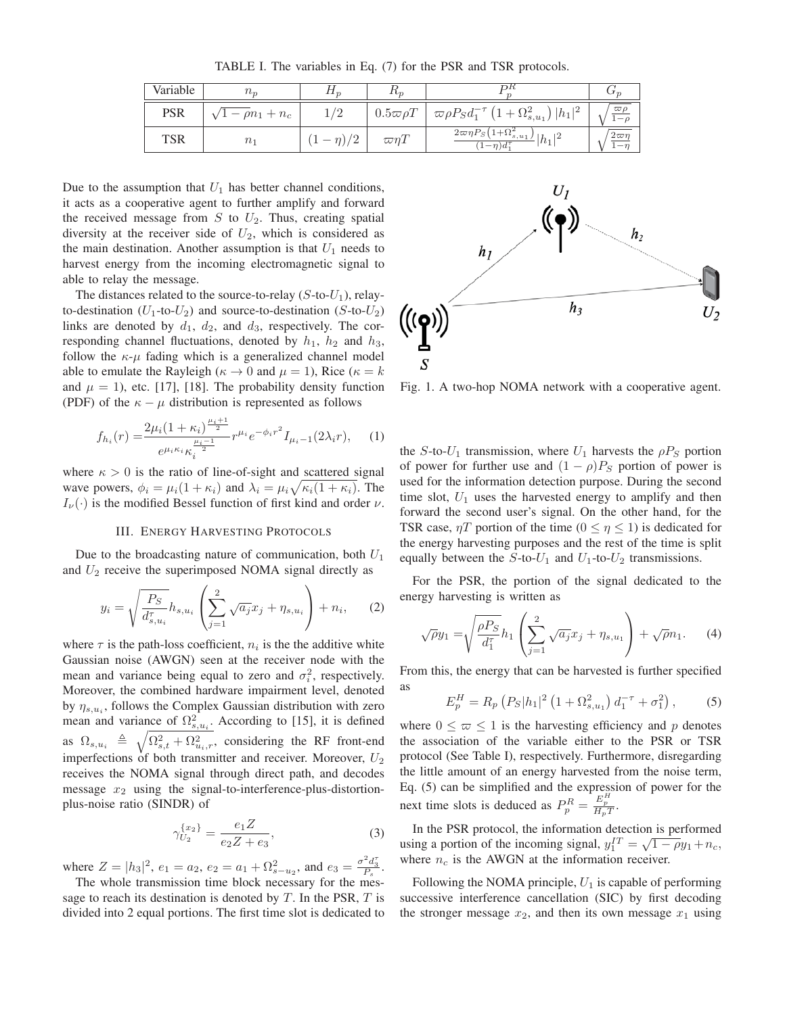TABLE I. The variables in Eq. (7) for the PSR and TSR protocols.

| Variable | $n_{\tau}$         | 11n         | ιıη                    |                                                                   |             |
|----------|--------------------|-------------|------------------------|-------------------------------------------------------------------|-------------|
| PSR      | $- \rho n_1 + n_c$ | $\sqrt{2}$  | $0.5\varpi\rho T$      | $\sigma \varpi \rho P_S d_1^{-\tau} (1 + \Omega_{s,u_1}^2)  h_1 $ | $\varpi$ (  |
| TSR      | $n_1$              | /2<br>$- n$ | $\varpi\eta\mathit{1}$ | $2\pi\eta P_S(1+\Omega_{s,u_1}^2)$<br>$h_1$<br>$(-n)d_1^{\tau}$   | 2τσ<br>$-1$ |

Due to the assumption that  $U_1$  has better channel conditions, it acts as a cooperative agent to further amplify and forward the received message from  $S$  to  $U_2$ . Thus, creating spatial diversity at the receiver side of  $U_2$ , which is considered as the main destination. Another assumption is that  $U_1$  needs to harvest energy from the incoming electromagnetic signal to able to relay the message.

The distances related to the source-to-relay  $(S$ -to- $U_1)$ , relayto-destination ( $U_1$ -to- $U_2$ ) and source-to-destination (S-to- $U_2$ ) links are denoted by  $d_1$ ,  $d_2$ , and  $d_3$ , respectively. The corresponding channel fluctuations, denoted by  $h_1$ ,  $h_2$  and  $h_3$ , follow the  $\kappa-\mu$  fading which is a generalized channel model able to emulate the Rayleigh ( $\kappa \to 0$  and  $\mu = 1$ ), Rice ( $\kappa = k$ ) and  $\mu = 1$ ), etc. [17], [18]. The probability density function (PDF) of the  $\kappa - \mu$  distribution is represented as follows

$$
f_{h_i}(r) = \frac{2\mu_i (1 + \kappa_i)^{\frac{\mu_i + 1}{2}}}{e^{\mu_i \kappa_i} \kappa_i^{\frac{\mu_i - 1}{2}}} r^{\mu_i} e^{-\phi_i r^2} I_{\mu_i - 1}(2\lambda_i r), \quad (1)
$$

where  $\kappa > 0$  is the ratio of line-of-sight and scattered signal wave powers,  $\phi_i = \mu_i(1 + \kappa_i)$  and  $\lambda_i = \mu_i \sqrt{\kappa_i(1 + \kappa_i)}$ . The  $I_{\nu}(\cdot)$  is the modified Bessel function of first kind and order  $\nu$ .

## III. ENERGY HARVESTING PROTOCOLS

Due to the broadcasting nature of communication, both  $U_1$ and  $U_2$  receive the superimposed NOMA signal directly as

$$
y_i = \sqrt{\frac{P_S}{d_{s,u_i}^{\tau}}} h_{s,u_i} \left( \sum_{j=1}^2 \sqrt{a_j} x_j + \eta_{s,u_i} \right) + n_i, \quad (2)
$$

where  $\tau$  is the path-loss coefficient,  $n_i$  is the the additive white Gaussian noise (AWGN) seen at the receiver node with the mean and variance being equal to zero and  $\sigma_i^2$ , respectively. Moreover, the combined hardware impairment level, denoted by  $\eta_{s,u_i}$ , follows the Complex Gaussian distribution with zero mean and variance of  $\Omega_{s,u_i}^2$ . According to [15], it is defined as  $\Omega_{s,u_i} \triangleq \sqrt{\Omega_{s,t}^2 + \Omega_{u_i,r}^2}$ , considering the RF front-end imperfections of both transmitter and receiver. Moreover,  $U_2$ receives the NOMA signal through direct path, and decodes message  $x_2$  using the signal-to-interference-plus-distortionplus-noise ratio (SINDR) of

$$
\gamma_{U_2}^{\{x_2\}} = \frac{e_1 Z}{e_2 Z + e_3},\tag{3}
$$

where  $Z = |h_3|^2$ ,  $e_1 = a_2$ ,  $e_2 = a_1 + \Omega_{s-u_2}^2$ , and  $e_3 = \frac{\sigma^2 d_3^2}{P_s}$ .<br>The whole transmission time block necessary for the mas

The whole transmission time block necessary for the message to reach its destination is denoted by  $T$ . In the PSR,  $T$  is divided into 2 equal portions. The first time slot is dedicated to



Fig. 1. A two-hop NOMA network with a cooperative agent.

the S-to- $U_1$  transmission, where  $U_1$  harvests the  $\rho P_S$  portion of power for further use and  $(1 - \rho)P_S$  portion of power is used for the information detection purpose. During the second time slot,  $U_1$  uses the harvested energy to amplify and then forward the second user's signal. On the other hand, for the TSR case,  $\eta T$  portion of the time  $(0 \le \eta \le 1)$  is dedicated for the energy harvesting purposes and the rest of the time is split equally between the  $S$ -to- $U_1$  and  $U_1$ -to- $U_2$  transmissions.

For the PSR, the portion of the signal dedicated to the energy harvesting is written as

$$
\sqrt{\rho}y_1 = \sqrt{\frac{\rho P_S}{d_1^{\tau}}}h_1\left(\sum_{j=1}^2 \sqrt{a_j}x_j + \eta_{s,u_1}\right) + \sqrt{\rho}n_1. \tag{4}
$$

From this, the energy that can be harvested is further specified as

$$
E_p^H = R_p \left( P_S |h_1|^2 \left( 1 + \Omega_{s,u_1}^2 \right) d_1^{-\tau} + \sigma_1^2 \right), \tag{5}
$$

where  $0 \leq \varpi \leq 1$  is the harvesting efficiency and p denotes the association of the variable either to the PSR or TSR protocol (See Table I), respectively. Furthermore, disregarding the little amount of an energy harvested from the noise term, Eq. (5) can be simplified and the expression of power for the next time slots is deduced as  $P_p^R = \frac{E_p^H}{H_pT}$ .

In the PSR protocol, the information detection is performed using a portion of the incoming signal,  $y_1^{IT} = \sqrt{1 - \rho}y_1 + n_c$ , where  $n_c$  is the AWGN at the information receiver.

Following the NOMA principle,  $U_1$  is capable of performing successive interference cancellation (SIC) by first decoding the stronger message  $x_2$ , and then its own message  $x_1$  using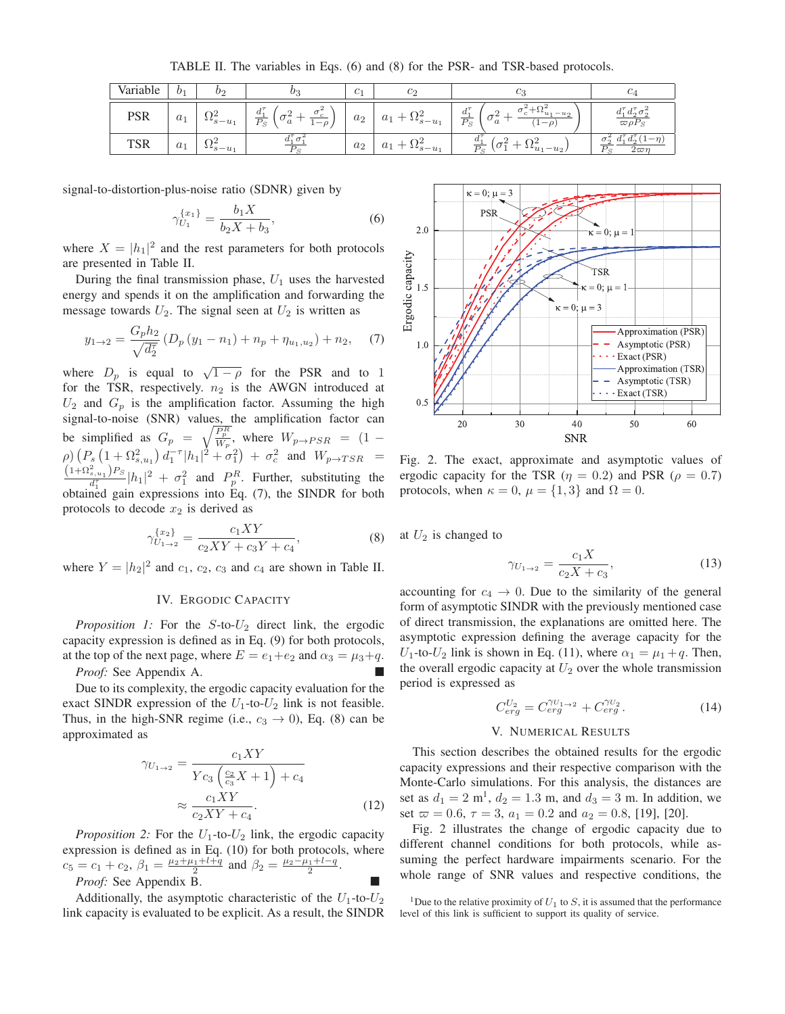TABLE II. The variables in Eqs. (6) and (8) for the PSR- and TSR-based protocols.

| Variable   | 0 <sub>1</sub> | Oς        | $v_3$                                                                                   | C <sub>1</sub> | $c_2$              | Cз                                                                                                             | C4                                                      |
|------------|----------------|-----------|-----------------------------------------------------------------------------------------|----------------|--------------------|----------------------------------------------------------------------------------------------------------------|---------------------------------------------------------|
| PSR        | $a_1$          | $5 - u_1$ | $\Omega$<br>$J^{\mathcal{T}}$<br>$a_{-}$<br>$\overline{P_S}$<br>$\it a$<br>$-\rho$<br>ᆠ | $a_2$          | $a_{1}$<br>$s-u_1$ | $\mathcal{F}$<br>$a_{1}$<br>$-u_2$<br>$u_{1}$<br>$\overline{P_S}$<br>$-\rho$ .<br>$\boldsymbol{a}$<br><b>I</b> | $d_1^{\tau} d_2^{\tau} \sigma_2^2$<br>$\varpi \rho P_S$ |
| <b>TSR</b> | $a_{1}$        | $s-u_1$   |                                                                                         | $a_2$          | u<br>$s - u_1$     | ω.<br>$\overline{D}$ .<br>$-u_2$<br>$u_1$                                                                      | $a_{\Omega}$<br>$u_1$<br>$2\pi r$                       |

signal-to-distortion-plus-noise ratio (SDNR) given by

$$
\gamma_{U_1}^{\{x_1\}} = \frac{b_1 X}{b_2 X + b_3},\tag{6}
$$

where  $X = |h_1|^2$  and the rest parameters for both protocols are presented in Table II.

During the final transmission phase,  $U_1$  uses the harvested energy and spends it on the amplification and forwarding the message towards  $U_2$ . The signal seen at  $U_2$  is written as

$$
y_{1\to 2} = \frac{G_p h_2}{\sqrt{d_2^2}} \left( D_p \left( y_1 - n_1 \right) + n_p + \eta_{u_1, u_2} \right) + n_2, \tag{7}
$$

where  $D_p$  is equal to  $\sqrt{1-\rho}$  for the PSR and to 1 for the TSR, respectively.  $n_2$  is the AWGN introduced at  $U_2$  and  $G_p$  is the amplification factor. Assuming the high signal-to-noise (SNR) values, the amplification factor can be simplified as  $G_p = \sqrt{\frac{P_p^R}{W_p}}$ , where  $W_{p\to PSR} = (1 - \rho) (P_s (1 + \Omega_{s,u_1}^2) d_1^{-\tau} |h_1|^2 + \sigma_1^2) + \sigma_c^2$  and  $W_{p\to TSR} =$  $\frac{(1+\Omega_{s,u_1}^2)P_S}{d_1^T}|h_1|^2 + \sigma_1^2$  and  $P_p^R$ . Further, substituting the obtained gain expressions into Eq. (7), the SINDR for both protocols to decode  $x_2$  is derived as

$$
\gamma_{U_{1\to 2}}^{\{x_2\}} = \frac{c_1XY}{c_2XY + c_3Y + c_4},\tag{8}
$$

where  $Y = |h_2|^2$  and  $c_1$ ,  $c_2$ ,  $c_3$  and  $c_4$  are shown in Table II.

# IV. ERGODIC CAPACITY

*Proposition 1:* For the  $S$ -to- $U_2$  direct link, the ergodic capacity expression is defined as in Eq. (9) for both protocols, at the top of the next page, where  $E = e_1 + e_2$  and  $\alpha_3 = \mu_3 + q$ . *Proof:* See Appendix A.

Due to its complexity, the ergodic capacity evaluation for the exact SINDR expression of the  $U_1$ -to- $U_2$  link is not feasible. Thus, in the high-SNR regime (i.e.,  $c_3 \rightarrow 0$ ), Eq. (8) can be approximated as

$$
\gamma_{U_{1\rightarrow 2}} = \frac{c_1 XY}{Yc_3 \left(\frac{c_2}{c_3} X + 1\right) + c_4}
$$

$$
\approx \frac{c_1 XY}{c_2 XY + c_4}.
$$
(12)

*Proposition 2:* For the  $U_1$ -to- $U_2$  link, the ergodic capacity expression is defined as in Eq. (10) for both protocols, where  $c_5 = c_1 + c_2$ ,  $\beta_1 = \frac{\mu_2 + \mu_1 + l + q}{2}$  and  $\beta_2 = \frac{\mu_2 - \mu_1 + l - q}{2}$ .

*Proof:* See Appendix B.

Additionally, the asymptotic characteristic of the  $U_1$ -to- $U_2$ link capacity is evaluated to be explicit. As a result, the SINDR



Fig. 2. The exact, approximate and asymptotic values of ergodic capacity for the TSR ( $\eta = 0.2$ ) and PSR ( $\rho = 0.7$ ) protocols, when  $\kappa = 0$ ,  $\mu = \{1, 3\}$  and  $\Omega = 0$ .

at  $U_2$  is changed to

$$
\gamma_{U_{1\to 2}} = \frac{c_1 X}{c_2 X + c_3},\tag{13}
$$

accounting for  $c_4 \rightarrow 0$ . Due to the similarity of the general form of asymptotic SINDR with the previously mentioned case of direct transmission, the explanations are omitted here. The asymptotic expression defining the average capacity for the  $U_1$ -to- $U_2$  link is shown in Eq. (11), where  $\alpha_1 = \mu_1 + q$ . Then, the overall ergodic capacity at  $U_2$  over the whole transmission period is expressed as

$$
C_{erg}^{U_2} = C_{erg}^{\gamma_{U_1 \to 2}} + C_{erg}^{\gamma_{U_2}}.
$$
 (14)

# V. NUMERICAL RESULTS

This section describes the obtained results for the ergodic capacity expressions and their respective comparison with the Monte-Carlo simulations. For this analysis, the distances are set as  $d_1 = 2 \text{ m}^1$ ,  $d_2 = 1.3 \text{ m}$ , and  $d_3 = 3 \text{ m}$ . In addition, we set  $\varpi = 0.6$ ,  $\tau = 3$ ,  $a_1 = 0.2$  and  $a_2 = 0.8$ , [19], [20].

Fig. 2 illustrates the change of ergodic capacity due to different channel conditions for both protocols, while assuming the perfect hardware impairments scenario. For the whole range of SNR values and respective conditions, the

<sup>&</sup>lt;sup>1</sup>Due to the relative proximity of  $U_1$  to  $S$ , it is assumed that the performance level of this link is sufficient to support its quality of service.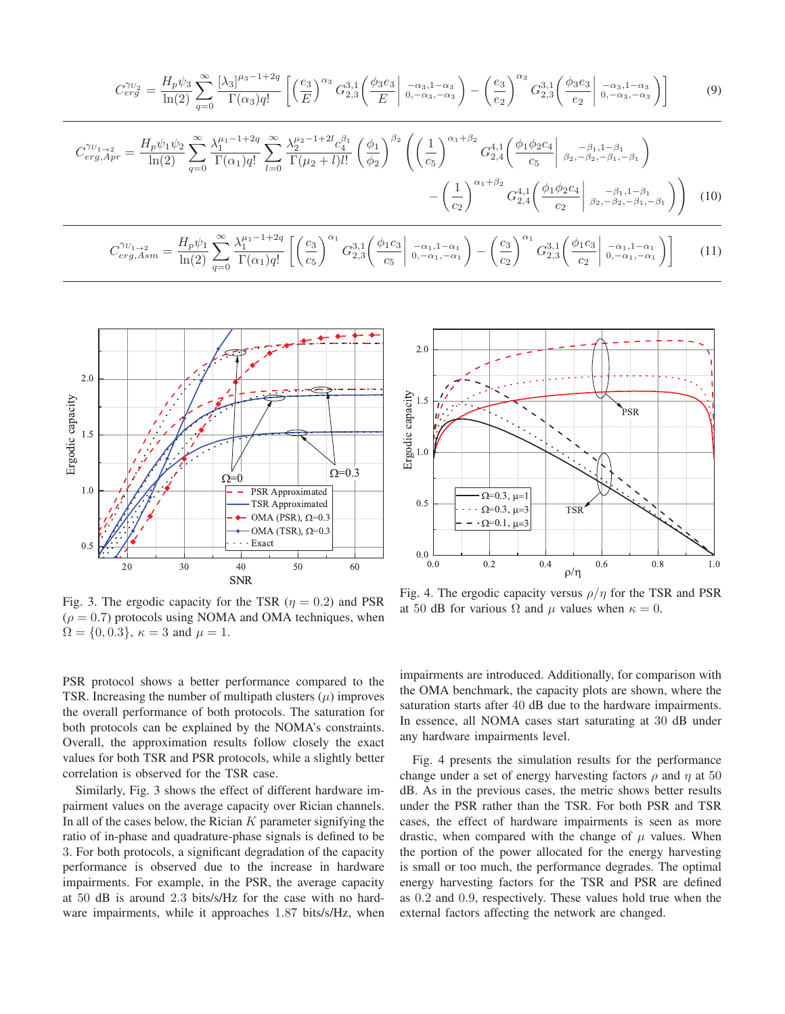$$
C_{erg}^{\gamma_{U_2}} = \frac{H_p \psi_3}{\ln(2)} \sum_{q=0}^{\infty} \frac{[\lambda_3]^{\mu_3 - 1 + 2q}}{\Gamma(\alpha_3) q!} \left[ \left(\frac{e_3}{E}\right)^{\alpha_3} G_{2,3}^{3,1} \left(\frac{\phi_3 e_3}{E} \middle| \begin{array}{c} -\alpha_3, 1 - \alpha_3 \\ 0, -\alpha_3, -\alpha_3 \end{array}\right) - \left(\frac{e_3}{e_2}\right)^{\alpha_3} G_{2,3}^{3,1} \left(\frac{\phi_3 e_3}{e_2} \middle| \begin{array}{c} -\alpha_3, 1 - \alpha_3 \\ 0, -\alpha_3, -\alpha_3 \end{array}\right) \right]
$$
(9)  

$$
C_{erg,Apr}^{\gamma_{U_1 \to 2}} = \frac{H_p \psi_1 \psi_2}{\ln(2)} \sum_{q=0}^{\infty} \frac{\lambda_1^{\mu_1 - 1 + 2q}}{\Gamma(\alpha_1) q!} \sum_{l=0}^{\infty} \frac{\lambda_2^{\mu_2 - 1 + 2l} c_4^{\beta_1}}{\Gamma(\mu_2 + l) l!} \left(\frac{\phi_1}{\phi_2}\right)^{\beta_2} \left( \left(\frac{1}{c_5}\right)^{\alpha_1 + \beta_2} G_{2,4}^{4,1} \left(\frac{\phi_1 \phi_2 c_4}{c_5} \middle| \begin{array}{c} -\beta_1, 1 - \beta_1 \\ \beta_2, -\beta_2, -\beta_1, -\beta_1 \end{array}\right) - \left(\frac{1}{c_2}\right)^{\alpha_1 + \beta_2} G_{2,4}^{4,1} \left(\frac{\phi_1 \phi_2 c_4}{c_2} \middle| \begin{array}{c} -\beta_1, 1 - \beta_1 \\ \beta_2, -\beta_2, -\beta_1, -\beta_1 \end{array}\right) \right)
$$
(10)  

$$
C_{erg, Asm}^{\gamma_{U_1 \to 2}} = \frac{H_p \psi_1}{\ln(2)} \sum_{q=0}^{\infty} \frac{\lambda_1^{\mu_1 - 1 + 2q}}{\Gamma(\alpha_1) q!} \left[ \left(\frac{c_3}{c_5}\right)^{\alpha_1} G_{2,3}^{
$$



Fig. 3. The ergodic capacity for the TSR ( $\eta = 0.2$ ) and PSR  $(\rho = 0.7)$  protocols using NOMA and OMA techniques, when  $\Omega = \{0, 0.3\}, \ \kappa = 3 \text{ and } \mu = 1.$ 



Fig. 4. The ergodic capacity versus  $\rho/\eta$  for the TSR and PSR at 50 dB for various  $\Omega$  and  $\mu$  values when  $\kappa = 0$ .

PSR protocol shows a better performance compared to the TSR. Increasing the number of multipath clusters  $(\mu)$  improves the overall performance of both protocols. The saturation for both protocols can be explained by the NOMA's constraints. Overall, the approximation results follow closely the exact values for both TSR and PSR protocols, while a slightly better correlation is observed for the TSR case.

Similarly, Fig. 3 shows the effect of different hardware impairment values on the average capacity over Rician channels. In all of the cases below, the Rician  $K$  parameter signifying the ratio of in-phase and quadrature-phase signals is defined to be 3. For both protocols, a significant degradation of the capacity performance is observed due to the increase in hardware impairments. For example, in the PSR, the average capacity at 50 dB is around 2.3 bits/s/Hz for the case with no hardware impairments, while it approaches 1.87 bits/s/Hz, when

impairments are introduced. Additionally, for comparison with the OMA benchmark, the capacity plots are shown, where the saturation starts after 40 dB due to the hardware impairments. In essence, all NOMA cases start saturating at 30 dB under any hardware impairments level.

Fig. 4 presents the simulation results for the performance change under a set of energy harvesting factors  $\rho$  and  $\eta$  at 50 dB. As in the previous cases, the metric shows better results under the PSR rather than the TSR. For both PSR and TSR cases, the effect of hardware impairments is seen as more drastic, when compared with the change of  $\mu$  values. When the portion of the power allocated for the energy harvesting is small or too much, the performance degrades. The optimal energy harvesting factors for the TSR and PSR are defined as 0.2 and 0.9, respectively. These values hold true when the external factors affecting the network are changed.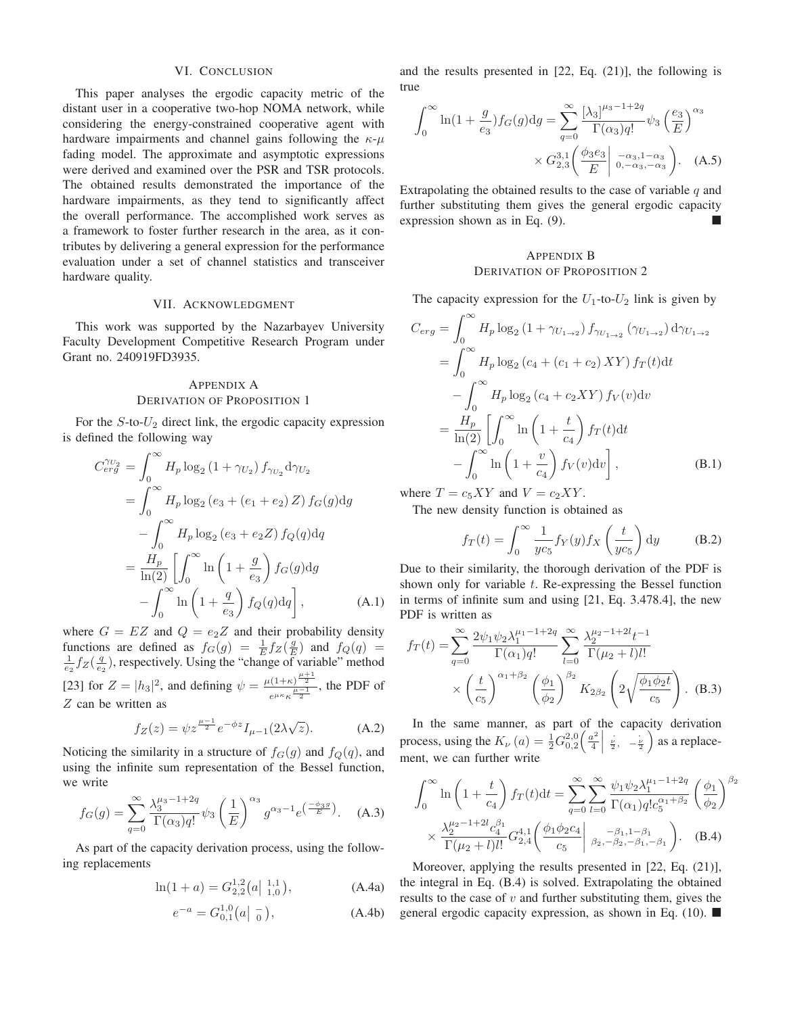#### VI. CONCLUSION

This paper analyses the ergodic capacity metric of the distant user in a cooperative two-hop NOMA network, while considering the energy-constrained cooperative agent with hardware impairments and channel gains following the  $\kappa$ - $\mu$ fading model. The approximate and asymptotic expressions were derived and examined over the PSR and TSR protocols. The obtained results demonstrated the importance of the hardware impairments, as they tend to significantly affect the overall performance. The accomplished work serves as a framework to foster further research in the area, as it contributes by delivering a general expression for the performance evaluation under a set of channel statistics and transceiver hardware quality.

### VII. ACKNOWLEDGMENT

This work was supported by the Nazarbayev University Faculty Development Competitive Research Program under Grant no. 240919FD3935.

# APPENDIX A DERIVATION OF PROPOSITION 1

For the  $S$ -to- $U_2$  direct link, the ergodic capacity expression is defined the following way

$$
C_{erg}^{\gamma_{U_2}} = \int_0^\infty H_p \log_2 (1 + \gamma_{U_2}) f_{\gamma_{U_2}} d\gamma_{U_2}
$$
  
= 
$$
\int_0^\infty H_p \log_2 (e_3 + (e_1 + e_2) Z) f_G(g) dg
$$
  

$$
- \int_0^\infty H_p \log_2 (e_3 + e_2 Z) f_Q(q) dq
$$
  
= 
$$
\frac{H_p}{\ln(2)} \left[ \int_0^\infty \ln \left( 1 + \frac{g}{e_3} \right) f_G(g) dg \right]
$$
  

$$
- \int_0^\infty \ln \left( 1 + \frac{q}{e_3} \right) f_Q(q) dq \right],
$$
 (A.1)

where  $G = EZ$  and  $Q = e_2Z$  and their probability density functions are defined as  $f_G(g) = \frac{1}{E} f_Z(\frac{g}{E})$  and  $f_Q(q) =$  $\frac{1}{e_2} f_Z(\frac{q}{e_2})$ , respectively. Using the "change of variable" method [23] for  $Z = |h_3|^2$ , and defining  $\psi = \frac{\mu(1+\kappa)^{\frac{\mu+1}{2}}}{a^{\mu\kappa} \mu + \frac{\mu-1}{2}}$  $\frac{\mu-1}{e^{\mu\kappa}\kappa^{\frac{\mu-1}{2}}}$ , the PDF of Z can be written as

$$
f_Z(z) = \psi z^{\frac{\mu - 1}{2}} e^{-\phi z} I_{\mu - 1}(2\lambda \sqrt{z}).
$$
 (A.2)

Noticing the similarity in a structure of  $f_G(g)$  and  $f_Q(q)$ , and using the infinite sum representation of the Bessel function, we write

$$
f_G(g) = \sum_{q=0}^{\infty} \frac{\lambda_3^{\mu_3 - 1 + 2q}}{\Gamma(\alpha_3) q!} \psi_3 \left(\frac{1}{E}\right)^{\alpha_3} g^{\alpha_3 - 1} e^{\left(\frac{-\phi_3 g}{E}\right)}. (A.3)
$$

As part of the capacity derivation process, using the following replacements

$$
\ln(1+a) = G_{2,2}^{1,2}(a \vert \;_{1,0}^{1,1}), \tag{A.4a}
$$

$$
e^{-a} = G_{0,1}^{1,0}(a | \frac{\ }{0}), \tag{A.4b}
$$

and the results presented in [22, Eq. (21)], the following is true

$$
\int_0^\infty \ln(1 + \frac{g}{e_3}) f_G(g) dg = \sum_{q=0}^\infty \frac{[\lambda_3]^{2}^{q-1+2q}}{\Gamma(\alpha_3) q!} \psi_3 \left(\frac{e_3}{E}\right)^{\alpha_3} \times G_{2,3}^{3,1} \left(\frac{\phi_3 e_3}{E}\Big|_{0, -\alpha_3, -\alpha_3}^{\alpha_3, 1-\alpha_3}\right). \tag{A.5}
$$

Extrapolating the obtained results to the case of variable  $q$  and further substituting them gives the general ergodic capacity expression shown as in Eq. (9).

## APPENDIX B DERIVATION OF PROPOSITION 2

The capacity expression for the  $U_1$ -to- $U_2$  link is given by

$$
C_{erg} = \int_0^\infty H_p \log_2 (1 + \gamma_{U_{1\rightarrow 2}}) f_{\gamma_{U_{1\rightarrow 2}}} (\gamma_{U_{1\rightarrow 2}}) d\gamma_{U_{1\rightarrow 2}}
$$
  
\n
$$
= \int_0^\infty H_p \log_2 (c_4 + (c_1 + c_2) XY) f_T(t) dt
$$
  
\n
$$
- \int_0^\infty H_p \log_2 (c_4 + c_2 XY) f_V(v) dv
$$
  
\n
$$
= \frac{H_p}{\ln(2)} \left[ \int_0^\infty \ln \left( 1 + \frac{t}{c_4} \right) f_T(t) dt - \int_0^\infty \ln \left( 1 + \frac{v}{c_4} \right) f_V(v) dv \right],
$$
 (B.1)

where  $T = c_5XY$  and  $V = c_2XY$ .

The new density function is obtained as

$$
f_T(t) = \int_0^\infty \frac{1}{y c_5} f_Y(y) f_X\left(\frac{t}{y c_5}\right) dy
$$
 (B.2)

Due to their similarity, the thorough derivation of the PDF is shown only for variable  $t$ . Re-expressing the Bessel function in terms of infinite sum and using [21, Eq. 3.478.4], the new PDF is written as

$$
f_T(t) = \sum_{q=0}^{\infty} \frac{2\psi_1 \psi_2 \lambda_1^{\mu_1 - 1 + 2q}}{\Gamma(\alpha_1) q!} \sum_{l=0}^{\infty} \frac{\lambda_2^{\mu_2 - 1 + 2l} t^{-1}}{\Gamma(\mu_2 + l) l!}
$$

$$
\times \left(\frac{t}{c_5}\right)^{\alpha_1 + \beta_2} \left(\frac{\phi_1}{\phi_2}\right)^{\beta_2} K_{2\beta_2} \left(2\sqrt{\frac{\phi_1 \phi_2 t}{c_5}}\right). \quad (B.3)
$$

In the same manner, as part of the capacity derivation process, using the  $K_{\nu}(a) = \frac{1}{2} G_{0,2}^{2,0} \left( \frac{a^2}{4} \bigg| \frac{\nu}{2}, -\frac{\nu}{2} \right)$  as a replacement, we can further write

$$
\int_0^\infty \ln\left(1 + \frac{t}{c_4}\right) f_T(t) dt = \sum_{q=0}^\infty \sum_{l=0}^\infty \frac{\psi_1 \psi_2 \lambda_1^{\mu_1 - 1 + 2q}}{\Gamma(\alpha_1) q! c_5^{\alpha_1 + \beta_2}} \left(\frac{\phi_1}{\phi_2}\right)^{\beta_2}
$$

$$
\times \frac{\lambda_2^{\mu_2 - 1 + 2l} c_4^{\beta_1}}{\Gamma(\mu_2 + l) l!} G_{2,4}^{4,1} \left(\frac{\phi_1 \phi_2 c_4}{c_5} \middle| \begin{array}{c} -\beta_1, 1 - \beta_1 \\ \beta_2, -\beta_2, -\beta_1, -\beta_1 \end{array}\right). \quad (B.4)
$$

Moreover, applying the results presented in [22, Eq. (21)], the integral in Eq. (B.4) is solved. Extrapolating the obtained results to the case of  $v$  and further substituting them, gives the general ergodic capacity expression, as shown in Eq. (10).